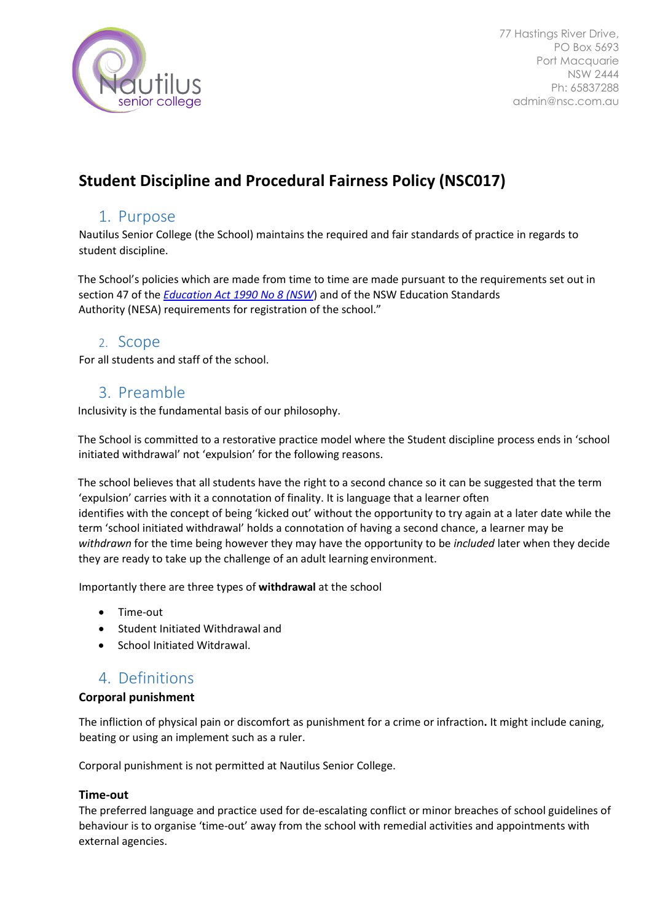

# **Student Discipline and Procedural Fairness Policy (NSC017)**

## 1. Purpose

Nautilus Senior College (the School) maintains the required and fair standards of practice in regards to student discipline.

The School's policies which are made from time to time are made pursuant to the requirements set out in section 47 of the *[Education Act 1990 No 8 \(NSW](http://www.legislation.nsw.gov.au/)*[\) a](http://www.legislation.nsw.gov.au/)nd of the NSW Education Standards Authority (NESA) requirements for registration of the school."

### 2. Scope

For all students and staff of the school.

## 3. Preamble

Inclusivity is the fundamental basis of our philosophy.

The School is committed to a restorative practice model where the Student discipline process ends in 'school initiated withdrawal' not 'expulsion' for the following reasons.

The school believes that all students have the right to a second chance so it can be suggested that the term 'expulsion' carries with it a connotation of finality. It is language that a learner often identifies with the concept of being 'kicked out' without the opportunity to try again at a later date while the term 'school initiated withdrawal' holds a connotation of having a second chance, a learner may be *withdrawn* for the time being however they may have the opportunity to be *included* later when they decide they are ready to take up the challenge of an adult learning environment.

Importantly there are three types of **withdrawal** at the school

- Time-out
- Student Initiated Withdrawal and
- School Initiated Witdrawal.

## 4. Definitions

### **Corporal punishment**

The infliction of physical pain or discomfort as punishment for a crime or infraction**.** It might include caning, beating or using an implement such as a ruler.

Corporal punishment is not permitted at Nautilus Senior College.

### **Time-out**

The preferred language and practice used for de-escalating conflict or minor breaches of school guidelines of behaviour is to organise 'time-out' away from the school with remedial activities and appointments with external agencies.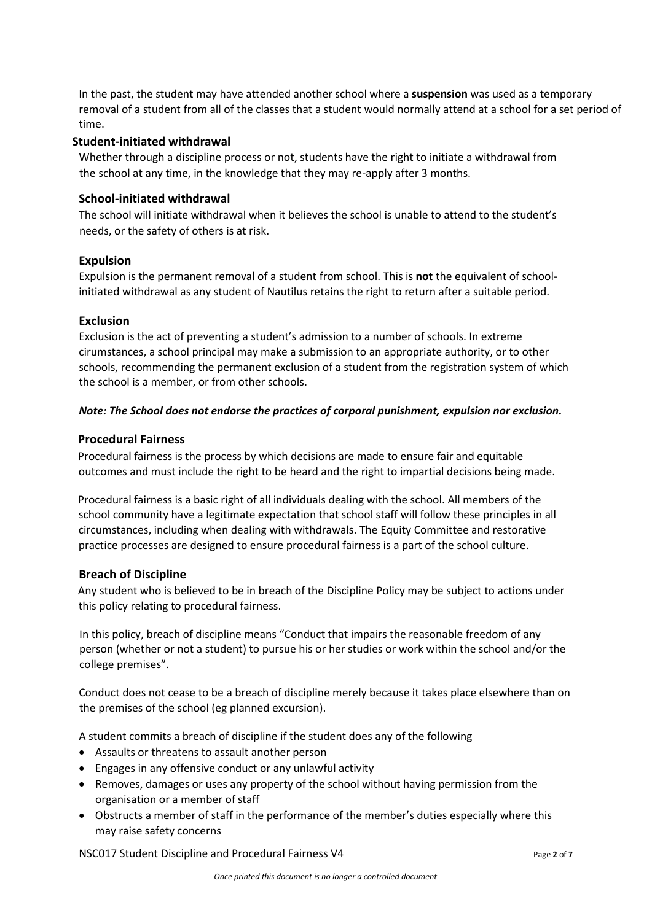In the past, the student may have attended another school where a **suspension** was used as a temporary removal of a student from all of the classes that a student would normally attend at a school for a set period of time.

#### **Student-initiated withdrawal**

Whether through a discipline process or not, students have the right to initiate a withdrawal from the school at any time, in the knowledge that they may re-apply after 3 months.

#### **School-initiated withdrawal**

The school will initiate withdrawal when it believes the school is unable to attend to the student's needs, or the safety of others is at risk.

#### **Expulsion**

Expulsion is the permanent removal of a student from school. This is **not** the equivalent of schoolinitiated withdrawal as any student of Nautilus retains the right to return after a suitable period.

#### **Exclusion**

Exclusion is the act of preventing a student's admission to a number of schools. In extreme cirumstances, a school principal may make a submission to an appropriate authority, or to other schools, recommending the permanent exclusion of a student from the registration system of which the school is a member, or from other schools.

#### *Note: The School does not endorse the practices of corporal punishment, expulsion nor exclusion.*

#### **Procedural Fairness**

Procedural fairness is the process by which decisions are made to ensure fair and equitable outcomes and must include the right to be heard and the right to impartial decisions being made.

Procedural fairness is a basic right of all individuals dealing with the school. All members of the school community have a legitimate expectation that school staff will follow these principles in all circumstances, including when dealing with withdrawals. The Equity Committee and restorative practice processes are designed to ensure procedural fairness is a part of the school culture.

#### **Breach of Discipline**

Any student who is believed to be in breach of the Discipline Policy may be subject to actions under this policy relating to procedural fairness.

In this policy, breach of discipline means "Conduct that impairs the reasonable freedom of any person (whether or not a student) to pursue his or her studies or work within the school and/or the college premises".

Conduct does not cease to be a breach of discipline merely because it takes place elsewhere than on the premises of the school (eg planned excursion).

A student commits a breach of discipline if the student does any of the following

- Assaults or threatens to assault another person
- Engages in any offensive conduct or any unlawful activity
- Removes, damages or uses any property of the school without having permission from the organisation or a member of staff
- Obstructs a member of staff in the performance of the member's duties especially where this may raise safety concerns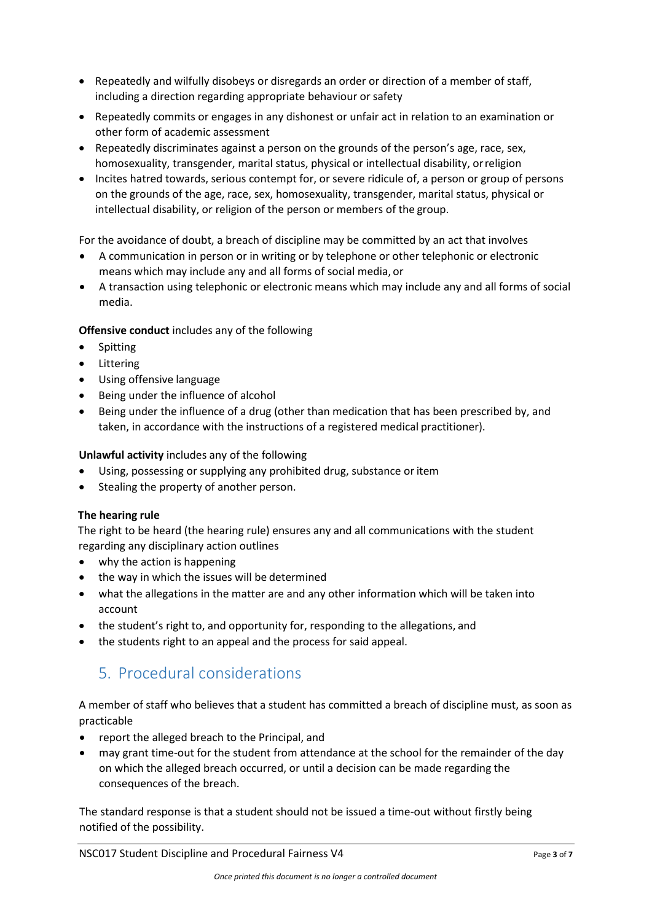- Repeatedly and wilfully disobeys or disregards an order or direction of a member of staff, including a direction regarding appropriate behaviour or safety
- Repeatedly commits or engages in any dishonest or unfair act in relation to an examination or other form of academic assessment
- Repeatedly discriminates against a person on the grounds of the person's age, race, sex, homosexuality, transgender, marital status, physical or intellectual disability, orreligion
- Incites hatred towards, serious contempt for, or severe ridicule of, a person or group of persons on the grounds of the age, race, sex, homosexuality, transgender, marital status, physical or intellectual disability, or religion of the person or members of the group.

For the avoidance of doubt, a breach of discipline may be committed by an act that involves

- A communication in person or in writing or by telephone or other telephonic or electronic means which may include any and all forms of social media, or
- A transaction using telephonic or electronic means which may include any and all forms of social media.

**Offensive conduct** includes any of the following

- Spitting
- Littering
- Using offensive language
- Being under the influence of alcohol
- Being under the influence of a drug (other than medication that has been prescribed by, and taken, in accordance with the instructions of a registered medical practitioner).

**Unlawful activity** includes any of the following

- Using, possessing or supplying any prohibited drug, substance or item
- Stealing the property of another person.

#### **The hearing rule**

The right to be heard (the hearing rule) ensures any and all communications with the student regarding any disciplinary action outlines

- why the action is happening
- the way in which the issues will be determined
- what the allegations in the matter are and any other information which will be taken into account
- the student's right to, and opportunity for, responding to the allegations, and
- the students right to an appeal and the process for said appeal.

## 5. Procedural considerations

A member of staff who believes that a student has committed a breach of discipline must, as soon as practicable

- report the alleged breach to the Principal, and
- may grant time-out for the student from attendance at the school for the remainder of the day on which the alleged breach occurred, or until a decision can be made regarding the consequences of the breach.

The standard response is that a student should not be issued a time-out without firstly being notified of the possibility.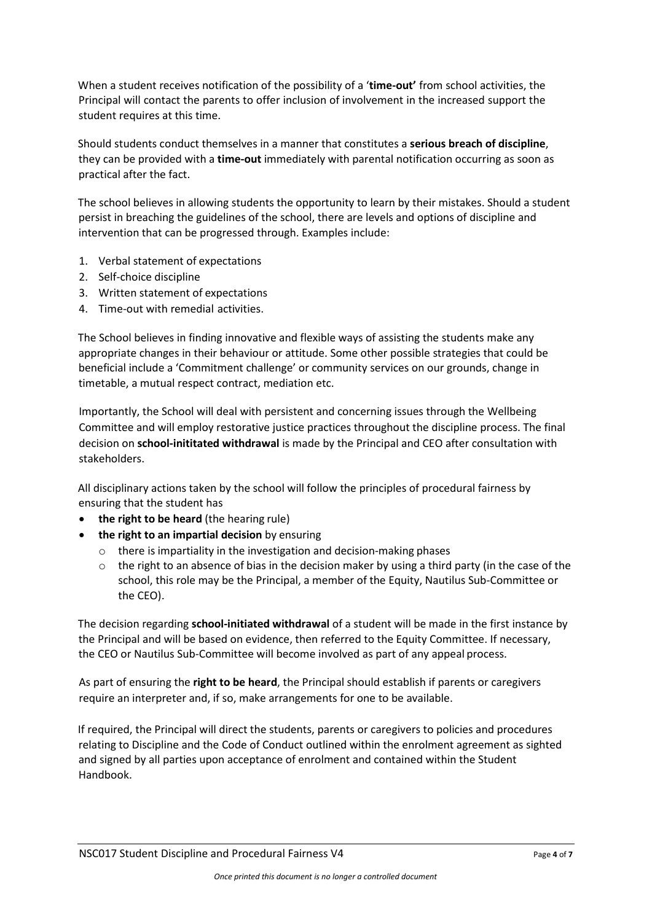When a student receives notification of the possibility of a '**time-out'** from school activities, the Principal will contact the parents to offer inclusion of involvement in the increased support the student requires at this time.

Should students conduct themselves in a manner that constitutes a **serious breach of discipline**, they can be provided with a **time-out** immediately with parental notification occurring as soon as practical after the fact.

The school believes in allowing students the opportunity to learn by their mistakes. Should a student persist in breaching the guidelines of the school, there are levels and options of discipline and intervention that can be progressed through. Examples include:

- 1. Verbal statement of expectations
- 2. Self-choice discipline
- 3. Written statement of expectations
- 4. Time-out with remedial activities.

The School believes in finding innovative and flexible ways of assisting the students make any appropriate changes in their behaviour or attitude. Some other possible strategies that could be beneficial include a 'Commitment challenge' or community services on our grounds, change in timetable, a mutual respect contract, mediation etc.

Importantly, the School will deal with persistent and concerning issues through the Wellbeing Committee and will employ restorative justice practices throughout the discipline process. The final decision on **school-inititated withdrawal** is made by the Principal and CEO after consultation with stakeholders.

All disciplinary actions taken by the school will follow the principles of procedural fairness by ensuring that the student has

- **the right to be heard** (the hearing rule)
- **the right to an impartial decision** by ensuring
	- o there is impartiality in the investigation and decision-making phases
	- $\circ$  the right to an absence of bias in the decision maker by using a third party (in the case of the school, this role may be the Principal, a member of the Equity, Nautilus Sub-Committee or the CEO).

The decision regarding **school-initiated withdrawal** of a student will be made in the first instance by the Principal and will be based on evidence, then referred to the Equity Committee. If necessary, the CEO or Nautilus Sub-Committee will become involved as part of any appeal process.

As part of ensuring the **right to be heard**, the Principal should establish if parents or caregivers require an interpreter and, if so, make arrangements for one to be available.

If required, the Principal will direct the students, parents or caregivers to policies and procedures relating to Discipline and the Code of Conduct outlined within the enrolment agreement as sighted and signed by all parties upon acceptance of enrolment and contained within the Student Handbook.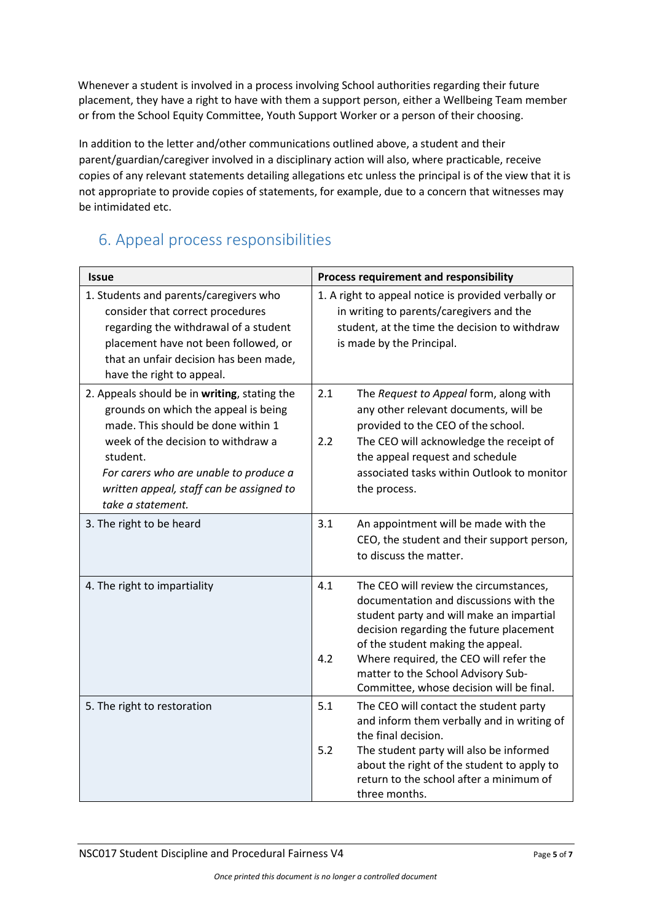Whenever a student is involved in a process involving School authorities regarding their future placement, they have a right to have with them a support person, either a Wellbeing Team member or from the School Equity Committee, Youth Support Worker or a person of their choosing.

In addition to the letter and/other communications outlined above, a student and their parent/guardian/caregiver involved in a disciplinary action will also, where practicable, receive copies of any relevant statements detailing allegations etc unless the principal is of the view that it is not appropriate to provide copies of statements, for example, due to a concern that witnesses may be intimidated etc.

# 6. Appeal process responsibilities

| <b>Issue</b>                                                                                                                                                                                                                                                                            | Process requirement and responsibility                                                                                                                                                                                                                                                                                                                 |
|-----------------------------------------------------------------------------------------------------------------------------------------------------------------------------------------------------------------------------------------------------------------------------------------|--------------------------------------------------------------------------------------------------------------------------------------------------------------------------------------------------------------------------------------------------------------------------------------------------------------------------------------------------------|
| 1. Students and parents/caregivers who<br>consider that correct procedures<br>regarding the withdrawal of a student<br>placement have not been followed, or<br>that an unfair decision has been made,<br>have the right to appeal.                                                      | 1. A right to appeal notice is provided verbally or<br>in writing to parents/caregivers and the<br>student, at the time the decision to withdraw<br>is made by the Principal.                                                                                                                                                                          |
| 2. Appeals should be in writing, stating the<br>grounds on which the appeal is being<br>made. This should be done within 1<br>week of the decision to withdraw a<br>student.<br>For carers who are unable to produce a<br>written appeal, staff can be assigned to<br>take a statement. | 2.1<br>The Request to Appeal form, along with<br>any other relevant documents, will be<br>provided to the CEO of the school.<br>2.2<br>The CEO will acknowledge the receipt of<br>the appeal request and schedule<br>associated tasks within Outlook to monitor<br>the process.                                                                        |
| 3. The right to be heard                                                                                                                                                                                                                                                                | 3.1<br>An appointment will be made with the<br>CEO, the student and their support person,<br>to discuss the matter.                                                                                                                                                                                                                                    |
| 4. The right to impartiality                                                                                                                                                                                                                                                            | 4.1<br>The CEO will review the circumstances,<br>documentation and discussions with the<br>student party and will make an impartial<br>decision regarding the future placement<br>of the student making the appeal.<br>Where required, the CEO will refer the<br>4.2<br>matter to the School Advisory Sub-<br>Committee, whose decision will be final. |
| 5. The right to restoration                                                                                                                                                                                                                                                             | 5.1<br>The CEO will contact the student party<br>and inform them verbally and in writing of<br>the final decision.<br>5.2<br>The student party will also be informed<br>about the right of the student to apply to<br>return to the school after a minimum of<br>three months.                                                                         |